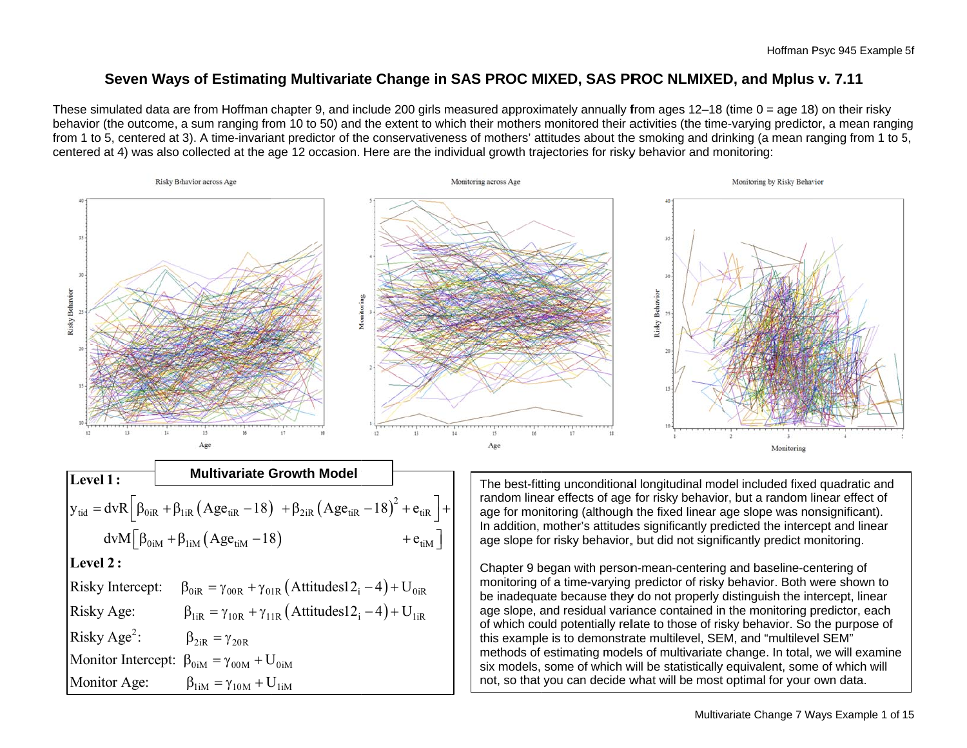## Seven Ways of Estimating Multivariate Change in SAS PROC MIXED, SAS PROC NLMIXED, and Mplus v. 7.11

These simulated data are from Hoffman chapter 9, and include 200 girls measured approximately annually from ages 12–18 (time 0 = age 18) on their risky behavior (the outcome, a sum ranging from 10 to 50) and the extent to which their mothers monitored their activities (the time-varying predictor, a mean ranging from 1 to 5, centered at 3). A time-invariant predictor of the conservativeness of mothers' attitudes about the smoking and drinking (a mean ranging from 1 to 5, centered at 4) was also collected at the age 12 occasion. Here are the individual growth trajectories for risky behavior and monitoring:



| Level 1:                                                                                                                 | Multivariate Growth Model                                                   |
|--------------------------------------------------------------------------------------------------------------------------|-----------------------------------------------------------------------------|
| $y_{tid} = dvR \left[ \beta_{0iR} + \beta_{1iR} (Age_{tiR} - 18) + \beta_{2iR} (Age_{tiR} - 18)^{2} + e_{tiR} \right] +$ |                                                                             |
| $dvM \left[ \beta_{0iM} + \beta_{1iM} (Age_{tiM} - 18) + e_{tiM} \right]$                                                |                                                                             |
| $Level 2:$                                                                                                               |                                                                             |
| Risky Intercept:                                                                                                         | $\beta_{0iR} = \gamma_{00R} + \gamma_{01R} (Attitudes12_{i} - 4) + U_{0iR}$ |
| Risky Age:                                                                                                               | $\beta_{1iR} = \gamma_{10R} + \gamma_{11R} (Attitudes12_{i} - 4) + U_{1iR}$ |
| Risky Age:                                                                                                               | $\beta_{2iR} = \gamma_{20R}$                                                |
| Monitor Intercept:                                                                                                       | $\beta_{0iM} = \gamma_{00M} + U_{0iM}$                                      |
| Monitor Age:                                                                                                             | $\beta_{1iM} = \gamma_{10M} + U_{1iM}$                                      |

The best-fitting unconditional longitudinal model included fixed quadratic and random linear effects of age for risky behavior, but a random linear effect of age for monitoring (although the fixed linear age slope was nonsignificant). In addition, mother's attitudes significantly predicted the intercept and linear age slope for risky behavior, but did not significantly predict monitoring.

Chapter 9 began with person-mean-centering and baseline-centering of monitoring of a time-varying predictor of risky behavior. Both were shown to be inadequate because they do not properly distinguish the intercept, linear age slope, and residual variance contained in the monitoring predictor, each of which could potentially relate to those of risky behavior. So the purpose of this example is to demonstrate multilevel, SEM, and "multilevel SEM" methods of estimating models of multivariate change. In total, we will examine six models, some of which will be statistically equivalent, some of which will not, so that you can decide what will be most optimal for your own data.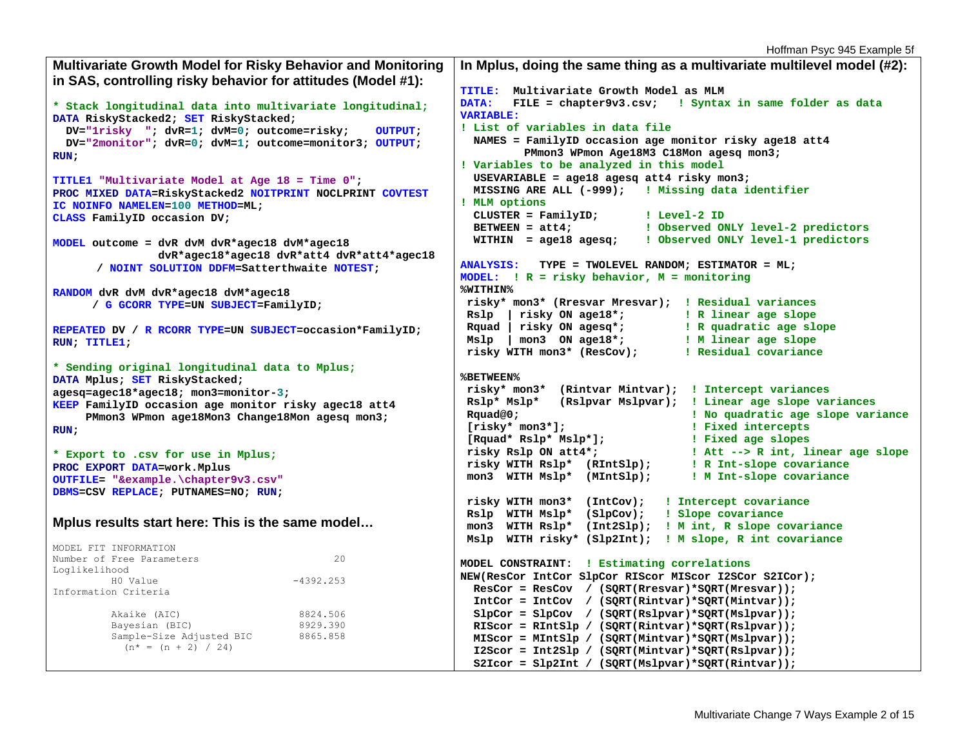Hoffman Psyc 945 Example 5f

```
Multivariate Growth Model for Risky Behavior and Monitoring 
in SAS, controlling risky behavior for attitudes (Model #1): 
* Stack longitudinal data into multivariate longitudinal;
DATA RiskyStacked2; SET RiskyStacked; 
  DV="1risky "; dvR=1; dvM=0; outcome=risky; OUTPUT; 
  DV="2monitor"; dvR=0; dvM=1; outcome=monitor3; OUTPUT; 
RUN; 
TITLE1 "Multivariate Model at Age 18 = Time 0"; 
PROC MIXED DATA=RiskyStacked2 NOITPRINT NOCLPRINT COVTEST
IC NOINFO NAMELEN=100 METHOD=ML; 
CLASS FamilyID occasion DV; 
MODEL outcome = dvR dvM dvR*agec18 dvM*agec18 
                dvR*agec18*agec18 dvR*att4 dvR*att4*agec18 
       / NOINT SOLUTION DDFM=Satterthwaite NOTEST; 
RANDOM dvR dvM dvR*agec18 dvM*agec18 
 / 
G GCORR TYPE=UN SUBJECT=FamilyID; 
REPEATED DV / 
R RCORR TYPE=UN SUBJECT=occasion*FamilyID; 
RUN; TITLE1; 
* Sending original longitudinal data to Mplus;
DATA Mplus; SET RiskyStacked; 
agesq=agec18*agec18; mon3=monitor-3; 
KEEP FamilyID occasion age monitor risky agec18 att4 
     PMmon3 WPmon age18Mon3 Change18Mon agesq mon3; 
RUN; 
* Export to .csv for use in Mplus;
PROC EXPORT DATA=work.Mplus 
OUTFILE= "&example.\chapter9v3.csv"
DBMS=CSV REPLACE; PUTNAMES=NO; RUN; 
Mplus results start here: This is the same model… 
MODEL FIT INFORMATION Number of Free Parameters 20
Loglikelihood 
         H0 Value -4392.253 Information Criteria  Akaike (AIC) 8824.506 
        Bayesian (BIC) 8929.390
        Sample-Size Adjusted BIC 8865.858
         (n^* = (n + 2) / 24)In Mplus, doing the same thing as a multivariate multilevel model (#2): 
                                                           TITLE: Multivariate Growth Model as MLM DATA: FILE = chapter9v3.csv; ! Syntax in same folder as data
                                                           VARIABLE: ! List of variables in data file  NAMES = FamilyID occasion age monitor risky age18 att4 
                                                                      PMmon3 WPmon Age18M3 C18Mon agesq mon3; 
                                                           ! Variables to be analyzed in this model 
                                                              USEVARIABLE = age18 agesq att4 risky mon3; 
                                                              MISSING ARE ALL (-999); ! Missing data identifier
                                                           ! MLM options 
                                                              CLUSTER = FamilyID; ! Level-2 ID 
                                                              BETWEEN = att4; ! Observed ONLY level-2 predictors 
                                                              WITHIN = age18 agesq; ! Observed ONLY level-1 predictors 
                                                           ANALYSIS: TYPE = TWOLEVEL RANDOM; ESTIMATOR = ML; 
                                                            MODEL: ! R = risky behavior, M = monitoring
                                                           %WITHIN%  risky* mon3* (Rresvar Mresvar); ! Residual variances
                                                             Rslp | risky ON age18*; ! R linear age slope
                                                             Rquad | risky ON agesq*; ! R quadratic age slope 
                                                             Mslp | mon3 ON age18*; ! M linear age slope
                                                             risky WITH mon3* (ResCov); ! Residual covariance
                                                            %BETWEEN%  risky* mon3* (Rintvar Mintvar); ! Intercept variances
                                                             Rslp* Mslp* (Rslpvar Mslpvar); ! Linear age slope variances
                                                             Rquad@0; ! No quadratic age slope variance
                                                             [risky* mon3*]; ! Fixed intercepts
                                                             [Rquad* Rslp* Mslp*]; ! Fixed age slopes
                                                             risky Rslp ON att4*; ! Att --> R int, linear age slope
                                                             risky WITH Rslp* (RIntSlp); ! R Int-slope covariance
                                                             mon3 WITH Mslp* (MIntSlp); ! M Int-slope covariance 
                                                             risky WITH mon3* (IntCov); ! Intercept covariance
                                                             Rslp WITH Mslp* (SlpCov); ! Slope covariance
                                                             mon3 WITH Rslp* (Int2Slp); ! M int, R slope covariance 
                                                             Mslp WITH risky* (Slp2Int); ! M slope, R int covariance 
                                                           MODEL CONSTRAINT: ! Estimating correlations 
                                                           NEW(ResCor IntCor SlpCor RIScor MIScor I2SCor S2ICor); 
                                                              ResCor = ResCov / (SQRT(Rresvar)*SQRT(Mresvar)); 
                                                              IntCor = IntCov / (SQRT(Rintvar)*SQRT(Mintvar)); 
                                                              SlpCor = SlpCov / (SQRT(Rslpvar)*SQRT(Mslpvar)); 
                                                              RIScor = RIntSlp / (SQRT(Rintvar)*SQRT(Rslpvar)); 
                                                              MIScor = MIntSlp / (SQRT(Mintvar)*SQRT(Mslpvar)); 
                                                              I2Scor = Int2Slp / (SQRT(Mintvar)*SQRT(Rslpvar)); 
                                                              S2Icor = Slp2Int / (SQRT(Mslpvar)*SQRT(Rintvar));
```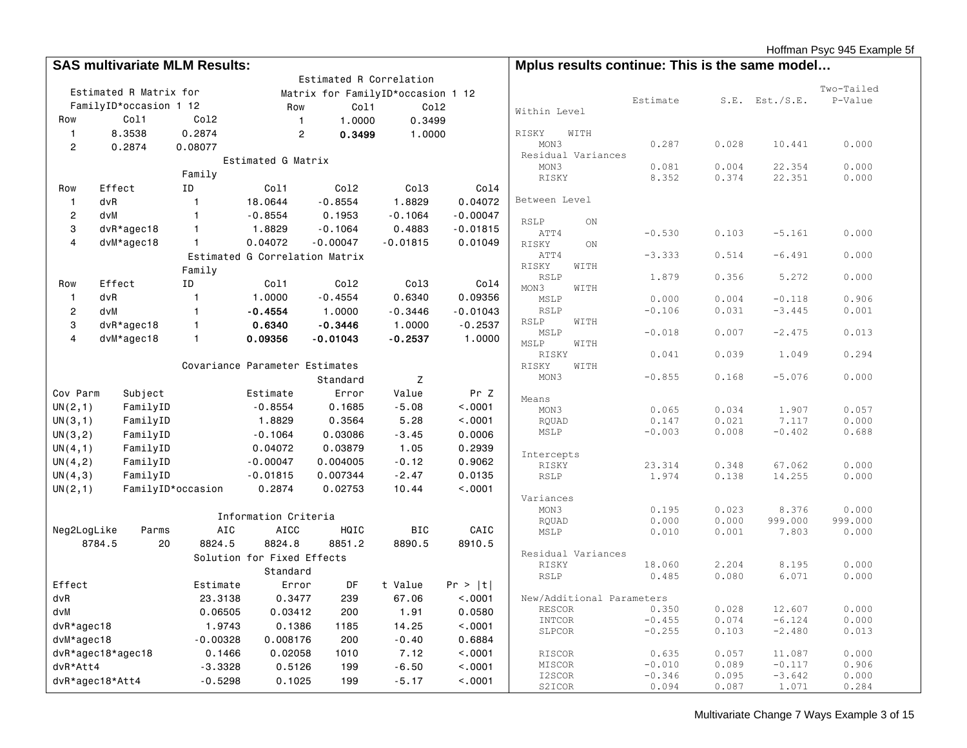Hoffman Psyc 945 Example 5f

|                  | <b>SAS multivariate MLM Results:</b> |                   |                                |                                   | Mplus results continue: This is the same model |            |                           |      |                   |                |                    |                |
|------------------|--------------------------------------|-------------------|--------------------------------|-----------------------------------|------------------------------------------------|------------|---------------------------|------|-------------------|----------------|--------------------|----------------|
|                  |                                      |                   |                                | Estimated R Correlation           |                                                |            |                           |      |                   |                |                    |                |
|                  | Estimated R Matrix for               |                   |                                | Matrix for FamilyID*occasion 1 12 |                                                |            |                           |      |                   |                |                    | Two-Tailed     |
|                  | FamilyID*occasion 1 12               |                   | Row                            | Col1                              | Co12                                           |            |                           |      | Estimate          |                | $S.E.$ Est./S.E.   | P-Value        |
| Row              | Col1                                 | Co12              | $\mathbf{1}$                   | 1,0000                            | 0.3499                                         |            | Within Level              |      |                   |                |                    |                |
| $\mathbf{1}$     | 8.3538                               | 0.2874            | $\overline{c}$                 | 0.3499                            | 1,0000                                         |            | RISKY                     | WITH |                   |                |                    |                |
| $\overline{c}$   | 0.2874                               | 0.08077           |                                |                                   |                                                |            | MON3                      |      | 0.287             | 0.028          | 10.441             | 0.000          |
|                  |                                      |                   | Estimated G Matrix             |                                   |                                                |            | Residual Variances        |      |                   |                |                    |                |
|                  |                                      |                   |                                |                                   |                                                |            | MON3                      |      | 0.081             | 0.004          | 22.354             | 0.000          |
|                  |                                      | Family            |                                |                                   |                                                |            | RISKY                     |      | 8.352             | 0.374          | 22.351             | 0.000          |
| Row              | Effect                               | ID                | Col1                           | Co12                              | Co13                                           | Co14       | Between Level             |      |                   |                |                    |                |
| $\mathbf{1}$     | dvR                                  | $\mathbf{1}$      | 18.0644                        | $-0.8554$                         | 1.8829                                         | 0.04072    |                           |      |                   |                |                    |                |
| $\overline{2}$   | dvM                                  | $\mathbf{1}$      | $-0.8554$                      | 0.1953                            | $-0.1064$                                      | $-0.00047$ | <b>RSLP</b>               | ON   |                   |                |                    |                |
| 3                | dvR*agec18                           | $\mathbf{1}$      | 1.8829                         | $-0.1064$                         | 0.4883                                         | $-0.01815$ | ATT4                      |      | $-0.530$          | 0.103          | $-5.161$           | 0.000          |
| $\overline{4}$   | dvM*agec18                           | $\mathbf{1}$      | 0.04072                        | $-0.00047$                        | $-0.01815$                                     | 0.01049    | RISKY                     | ON   |                   |                |                    |                |
|                  |                                      |                   | Estimated G Correlation Matrix |                                   |                                                |            | ATT4                      |      | $-3.333$          | 0.514          | $-6.491$           | 0.000          |
|                  |                                      | Family            |                                |                                   |                                                |            | RISKY<br><b>RSLP</b>      | WITH | 1.879             | 0.356          | 5.272              | 0.000          |
| Row              | Effect                               | ID                | Col1                           | Co12                              | Co13                                           | Co14       | MON3                      | WITH |                   |                |                    |                |
| $\mathbf{1}$     | dvR                                  | $\overline{1}$    | 1.0000                         | $-0.4554$                         | 0.6340                                         | 0.09356    | MSLP                      |      | 0.000             | 0.004          | $-0.118$           | 0.906          |
| $\boldsymbol{2}$ | dvM                                  | $\mathbf{1}$      | $-0.4554$                      | 1.0000                            | $-0.3446$                                      | $-0.01043$ | <b>RSLP</b>               |      | $-0.106$          | 0.031          | $-3.445$           | 0.001          |
| 3                | $dvR*agec18$                         | $\mathbf{1}$      | 0.6340                         | $-0.3446$                         | 1.0000                                         | $-0.2537$  | RSLP                      | WITH |                   |                |                    |                |
| $\overline{4}$   | $dvM*agec18$                         | $\mathbf{1}$      | 0.09356                        | $-0.01043$                        | $-0.2537$                                      | 1.0000     | MSLP                      |      | $-0.018$          | 0.007          | $-2.475$           | 0.013          |
|                  |                                      |                   |                                |                                   |                                                |            | MSLP<br>RISKY             | WITH | 0.041             | 0.039          | 1.049              | 0.294          |
|                  |                                      |                   | Covariance Parameter Estimates |                                   |                                                |            | RISKY                     | WITH |                   |                |                    |                |
|                  |                                      |                   |                                | Standard                          | Z                                              |            | MON3                      |      | $-0.855$          | 0.168          | $-5.076$           | 0.000          |
|                  |                                      |                   |                                |                                   |                                                |            |                           |      |                   |                |                    |                |
| Cov Parm         | Subject                              |                   | Estimate                       | Error                             | Value                                          | Pr Z       | Means                     |      |                   |                |                    |                |
| UN(2, 1)         | FamilyID                             |                   | $-0.8554$                      | 0.1685                            | $-5.08$                                        | < .0001    | MON3                      |      | 0.065             | 0.034          | 1.907              | 0.057          |
| UN(3,1)          | FamilyID                             |                   | 1.8829                         | 0.3564                            | 5.28                                           | < .0001    | RQUAD<br>MSLP             |      | 0.147<br>$-0.003$ | 0.021<br>0.008 | 7.117<br>$-0.402$  | 0.000<br>0.688 |
| UN(3,2)          | FamilyID                             |                   | $-0.1064$                      | 0.03086                           | $-3.45$                                        | 0.0006     |                           |      |                   |                |                    |                |
| UN(4,1)          | FamilyID                             |                   | 0.04072                        | 0.03879                           | 1.05                                           | 0.2939     | Intercepts                |      |                   |                |                    |                |
| UN(4, 2)         | FamilyID                             |                   | $-0.00047$                     | 0.004005                          | $-0.12$                                        | 0.9062     | RISKY                     |      | 23.314            | 0.348          | 67.062             | 0.000          |
| UN(4,3)          | FamilyID                             |                   | $-0.01815$                     | 0.007344                          | $-2.47$                                        | 0.0135     | RSLP                      |      | 1.974             | 0.138          | 14.255             | 0.000          |
| UN(2,1)          |                                      | FamilyID*occasion | 0.2874                         | 0.02753                           | 10.44                                          | < 0.001    |                           |      |                   |                |                    |                |
|                  |                                      |                   |                                |                                   |                                                |            | Variances<br>MON3         |      | 0.195             | 0.023          | 8.376              | 0.000          |
|                  |                                      |                   | Information Criteria           |                                   |                                                |            | <b>ROUAD</b>              |      | 0.000             | 0.000          | 999.000            | 999.000        |
| Neg2LogLike      | Parms                                | AIC               | <b>AICC</b>                    | HQIC                              | <b>BIC</b>                                     | CAIC       | MSLP                      |      | 0.010             | 0.001          | 7.803              | 0.000          |
|                  | 8784.5<br>20                         | 8824.5            | 8824.8                         | 8851.2                            | 8890.5                                         | 8910.5     |                           |      |                   |                |                    |                |
|                  |                                      |                   | Solution for Fixed Effects     |                                   |                                                |            | Residual Variances        |      |                   |                |                    |                |
|                  |                                      |                   | Standard                       |                                   |                                                |            | RISKY                     |      | 18.060            | 2.204          | 8.195              | 0.000          |
| Effect           |                                      | Estimate          | Error                          | DF                                | t Value                                        | Pr >  t    | <b>RSLP</b>               |      | 0.485             | 0.080          | 6.071              | 0.000          |
| dvR              |                                      | 23.3138           | 0.3477                         | 239                               | 67.06                                          | < .0001    | New/Additional Parameters |      |                   |                |                    |                |
| dvM              |                                      | 0.06505           | 0.03412                        | 200                               | 1.91                                           | 0.0580     | <b>RESCOR</b>             |      | 0.350             | 0.028          | 12.607             | 0.000          |
|                  |                                      | 1.9743            | 0.1386                         |                                   | 14.25                                          | < 0.001    | INTCOR                    |      | $-0.455$          | 0.074          | $-6.124$           | 0.000          |
| dvR*agec18       |                                      |                   |                                | 1185<br>200                       |                                                | 0.6884     | SLPCOR                    |      | $-0.255$          | 0.103          | $-2.480$           | 0.013          |
| dvM*agec18       |                                      | $-0.00328$        | 0.008176                       |                                   | $-0.40$                                        |            |                           |      |                   |                |                    |                |
|                  | dvR*agec18*agec18                    | 0.1466            | 0.02058                        | 1010                              | 7.12                                           | < .0001    | <b>RISCOR</b><br>MISCOR   |      | 0.635<br>$-0.010$ | 0.057<br>0.089 | 11.087<br>$-0.117$ | 0.000<br>0.906 |
| dvR*Att4         |                                      | $-3.3328$         | 0.5126                         | 199                               | $-6.50$                                        | < .0001    | I2SCOR                    |      | $-0.346$          | 0.095          | $-3.642$           | 0.000          |
|                  | dvR*agec18*Att4                      | $-0.5298$         | 0.1025                         | 199                               | $-5.17$                                        | < .0001    | S <sub>2</sub> TCOR       |      | 0.094             | 0.087          | 1.071              | 0.284          |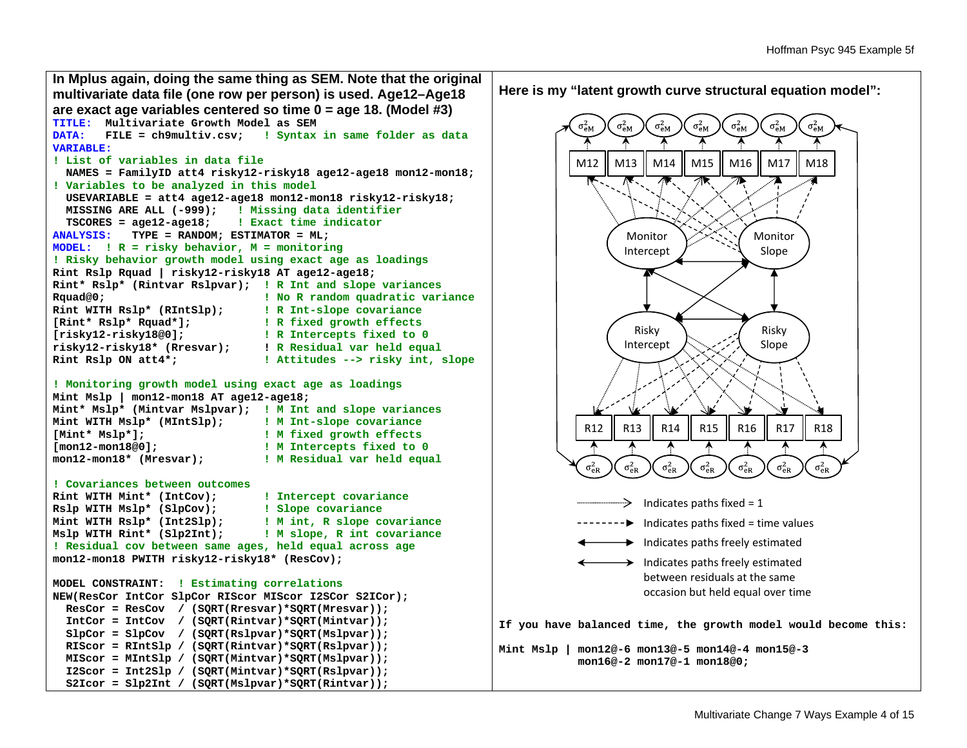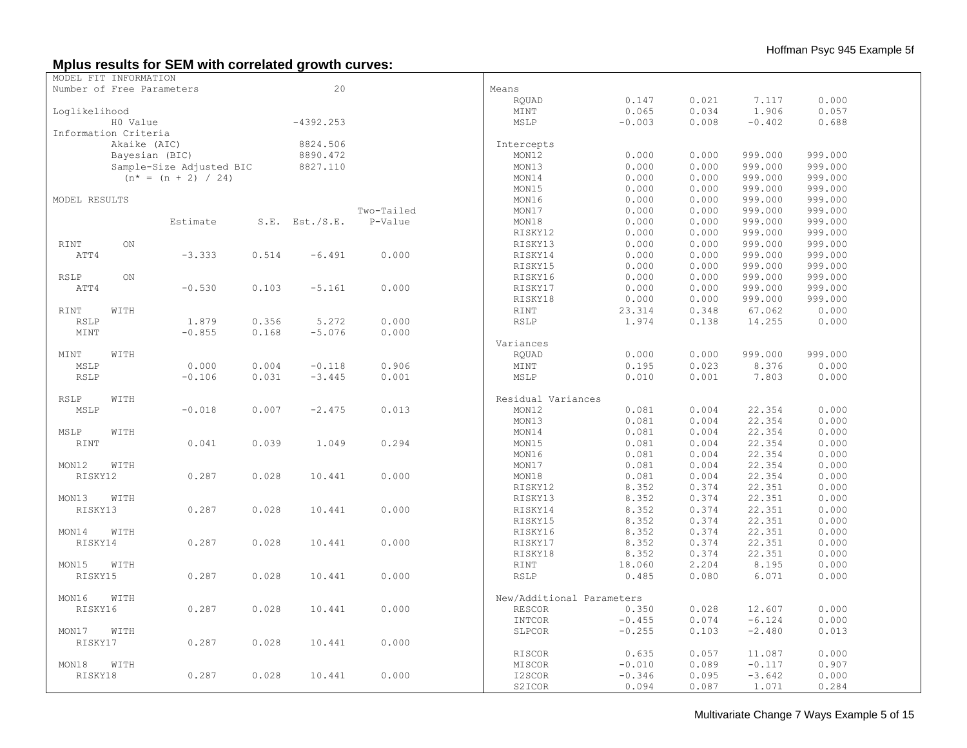# **Mplus results for SEM with correlated growth curves:**

| MODEL FIT INFORMATION     |                |                          |       |                     |            |                           |          |       |          |         |  |
|---------------------------|----------------|--------------------------|-------|---------------------|------------|---------------------------|----------|-------|----------|---------|--|
| Number of Free Parameters |                |                          |       | 20                  |            | Means                     |          |       |          |         |  |
|                           |                |                          |       |                     |            | RQUAD                     | 0.147    | 0.021 | 7.117    | 0.000   |  |
| Loglikelihood             |                |                          |       |                     |            | MINT                      | 0.065    | 0.034 | 1.906    | 0.057   |  |
|                           | H0 Value       |                          |       | $-4392.253$         |            | MSLP                      | $-0.003$ | 0.008 | $-0.402$ | 0.688   |  |
| Information Criteria      |                |                          |       |                     |            |                           |          |       |          |         |  |
|                           | Akaike (AIC)   |                          |       | 8824.506            |            | Intercepts                |          |       |          |         |  |
|                           | Bayesian (BIC) |                          |       | 8890.472            |            | MON12                     | 0.000    | 0.000 | 999.000  | 999.000 |  |
|                           |                |                          |       | 8827.110            |            | MON13                     | 0.000    | 0.000 | 999.000  | 999.000 |  |
|                           |                | Sample-Size Adjusted BIC |       |                     |            |                           |          |       |          |         |  |
|                           |                | $(n^* = (n + 2) / 24)$   |       |                     |            | MON14                     | 0.000    | 0.000 | 999.000  | 999.000 |  |
|                           |                |                          |       |                     |            | MON15                     | 0.000    | 0.000 | 999.000  | 999.000 |  |
| MODEL RESULTS             |                |                          |       |                     |            | MON16                     | 0.000    | 0.000 | 999.000  | 999.000 |  |
|                           |                |                          |       |                     | Two-Tailed | MON17                     | 0.000    | 0.000 | 999.000  | 999.000 |  |
|                           |                | Estimate                 |       | $S.E.$ Est./ $S.E.$ | P-Value    | MON18                     | 0.000    | 0.000 | 999.000  | 999.000 |  |
|                           |                |                          |       |                     |            | RISKY12                   | 0.000    | 0.000 | 999.000  | 999.000 |  |
| RINT                      | ON             |                          |       |                     |            | RISKY13                   | 0.000    | 0.000 | 999.000  | 999.000 |  |
| ATT4                      |                | $-3.333$                 | 0.514 | $-6.491$            | 0.000      | RISKY14                   | 0.000    | 0.000 | 999.000  | 999.000 |  |
|                           |                |                          |       |                     |            | RISKY15                   | 0.000    | 0.000 | 999.000  | 999.000 |  |
| <b>RSLP</b>               | ON             |                          |       |                     |            | RISKY16                   | 0.000    | 0.000 | 999.000  | 999.000 |  |
| ATT4                      |                | $-0.530$                 | 0.103 | $-5.161$            | 0.000      | RISKY17                   | 0.000    | 0.000 | 999.000  | 999.000 |  |
|                           |                |                          |       |                     |            | RISKY18                   | 0.000    | 0.000 | 999.000  | 999.000 |  |
|                           |                |                          |       |                     |            |                           |          |       |          |         |  |
| <b>RINT</b>               | WITH           |                          |       |                     |            | <b>RINT</b>               | 23.314   | 0.348 | 67.062   | 0.000   |  |
| <b>RSLP</b>               |                | 1.879                    | 0.356 | 5.272               | 0.000      | <b>RSLP</b>               | 1.974    | 0.138 | 14.255   | 0.000   |  |
| MINT                      |                | $-0.855$                 | 0.168 | $-5.076$            | 0.000      |                           |          |       |          |         |  |
|                           |                |                          |       |                     |            | Variances                 |          |       |          |         |  |
| MINT                      | WITH           |                          |       |                     |            | RQUAD                     | 0.000    | 0.000 | 999.000  | 999.000 |  |
| MSLP                      |                | 0.000                    | 0.004 | $-0.118$            | 0.906      | MINT                      | 0.195    | 0.023 | 8.376    | 0.000   |  |
| <b>RSLP</b>               |                | $-0.106$                 | 0.031 | $-3.445$            | 0.001      | MSLP                      | 0.010    | 0.001 | 7.803    | 0.000   |  |
| <b>RSLP</b>               | WITH           |                          |       |                     |            | Residual Variances        |          |       |          |         |  |
| MSLP                      |                | $-0.018$                 | 0.007 | $-2.475$            | 0.013      | MON12                     | 0.081    | 0.004 | 22.354   | 0.000   |  |
|                           |                |                          |       |                     |            |                           |          |       |          |         |  |
|                           |                |                          |       |                     |            | MON13                     | 0.081    | 0.004 | 22.354   | 0.000   |  |
| MSLP                      | WITH           |                          |       |                     |            | MON14                     | 0.081    | 0.004 | 22.354   | 0.000   |  |
| <b>RINT</b>               |                | 0.041                    | 0.039 | 1.049               | 0.294      | MON15                     | 0.081    | 0.004 | 22.354   | 0.000   |  |
|                           |                |                          |       |                     |            | MON16                     | 0.081    | 0.004 | 22.354   | 0.000   |  |
| MON12                     | WITH           |                          |       |                     |            | MON17                     | 0.081    | 0.004 | 22.354   | 0.000   |  |
| RISKY12                   |                | 0.287                    | 0.028 | 10.441              | 0.000      | MON18                     | 0.081    | 0.004 | 22.354   | 0.000   |  |
|                           |                |                          |       |                     |            | RISKY12                   | 8.352    | 0.374 | 22.351   | 0.000   |  |
| MON13                     | WITH           |                          |       |                     |            | RISKY13                   | 8.352    | 0.374 | 22.351   | 0.000   |  |
| RISKY13                   |                | 0.287                    | 0.028 | 10.441              | 0.000      | RISKY14                   | 8.352    | 0.374 | 22.351   | 0.000   |  |
|                           |                |                          |       |                     |            | RISKY15                   | 8.352    | 0.374 | 22.351   | 0.000   |  |
| MON14                     | WITH           |                          |       |                     |            | RISKY16                   | 8.352    | 0.374 | 22.351   | 0.000   |  |
| RISKY14                   |                | 0.287                    | 0.028 | 10.441              | 0.000      | RISKY17                   | 8.352    | 0.374 | 22.351   | 0.000   |  |
|                           |                |                          |       |                     |            | RISKY18                   | 8.352    | 0.374 | 22.351   | 0.000   |  |
|                           |                |                          |       |                     |            |                           |          |       |          |         |  |
| MON15                     | WITH           |                          |       |                     |            | RINT                      | 18.060   | 2.204 | 8.195    | 0.000   |  |
| RISKY15                   |                | 0.287                    | 0.028 | 10.441              | 0.000      | <b>RSLP</b>               | 0.485    | 0.080 | 6.071    | 0.000   |  |
| MON16                     | WITH           |                          |       |                     |            | New/Additional Parameters |          |       |          |         |  |
| RISKY16                   |                | 0.287                    | 0.028 | 10.441              | 0.000      | <b>RESCOR</b>             | 0.350    | 0.028 | 12.607   | 0.000   |  |
|                           |                |                          |       |                     |            | INTCOR                    | $-0.455$ | 0.074 | $-6.124$ | 0.000   |  |
| MON17                     | WITH           |                          |       |                     |            | SLPCOR                    | $-0.255$ | 0.103 | $-2.480$ | 0.013   |  |
|                           |                |                          |       |                     |            |                           |          |       |          |         |  |
| RISKY17                   |                | 0.287                    | 0.028 | 10.441              | 0.000      |                           |          |       |          |         |  |
|                           |                |                          |       |                     |            | RISCOR                    | 0.635    | 0.057 | 11.087   | 0.000   |  |
| MON18                     | WITH           |                          |       |                     |            | MISCOR                    | $-0.010$ | 0.089 | $-0.117$ | 0.907   |  |
| RISKY18                   |                | 0.287                    | 0.028 | 10.441              | 0.000      | I2SCOR                    | $-0.346$ | 0.095 | $-3.642$ | 0.000   |  |
|                           |                |                          |       |                     |            | S2ICOR                    | 0.094    | 0.087 | 1.071    | 0.284   |  |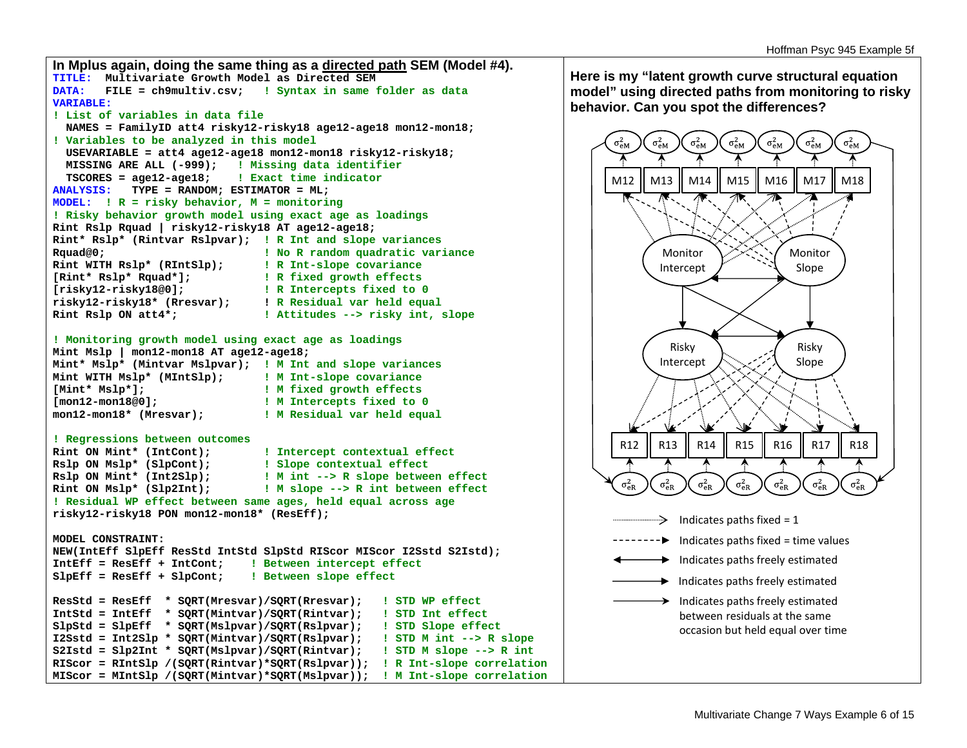

**Here is my "latent growth curve structural equation model" using directed paths from monitoring to risky behavior. Can you spot the differences?**

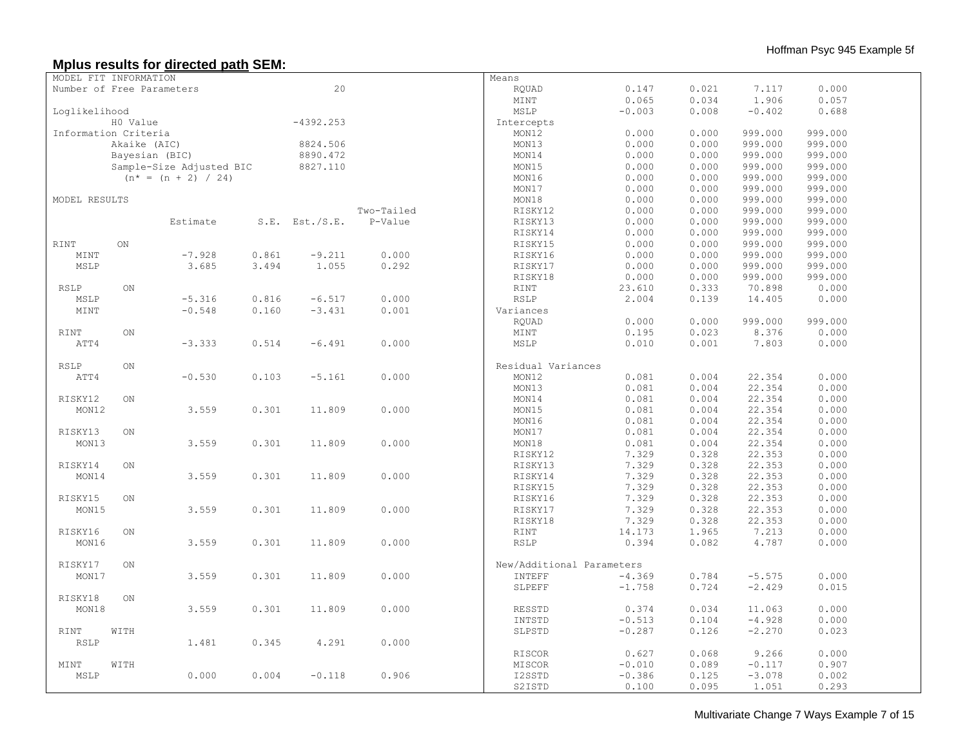## **Mplus results for directed path SEM:**

| MODEL FIT INFORMATION     |              |                          |       |                     |            | Means                     |          |       |          |         |  |
|---------------------------|--------------|--------------------------|-------|---------------------|------------|---------------------------|----------|-------|----------|---------|--|
| Number of Free Parameters |              |                          |       | 20                  |            | RQUAD                     | 0.147    | 0.021 | 7.117    | 0.000   |  |
|                           |              |                          |       |                     |            | MINT                      | 0.065    | 0.034 | 1.906    | 0.057   |  |
| Loglikelihood             |              |                          |       |                     |            | MSLP                      | $-0.003$ | 0.008 | $-0.402$ | 0.688   |  |
|                           |              |                          |       |                     |            |                           |          |       |          |         |  |
|                           | H0 Value     |                          |       | $-4392.253$         |            | Intercepts                |          |       |          |         |  |
| Information Criteria      |              |                          |       |                     |            | MON12                     | 0.000    | 0.000 | 999.000  | 999.000 |  |
|                           | Akaike (AIC) |                          |       | 8824.506            |            | MON13                     | 0.000    | 0.000 | 999.000  | 999.000 |  |
|                           |              | Bayesian (BIC)           |       | 8890.472            |            | MON14                     | 0.000    | 0.000 | 999.000  | 999.000 |  |
|                           |              | Sample-Size Adjusted BIC |       | 8827.110            |            | MON15                     | 0.000    | 0.000 | 999.000  | 999.000 |  |
|                           |              | $(n^* = (n + 2) / 24)$   |       |                     |            | MON16                     | 0.000    | 0.000 | 999.000  | 999.000 |  |
|                           |              |                          |       |                     |            | MON17                     | 0.000    | 0.000 | 999.000  | 999.000 |  |
| MODEL RESULTS             |              |                          |       |                     |            | MON18                     | 0.000    | 0.000 | 999.000  | 999.000 |  |
|                           |              |                          |       |                     | Two-Tailed | RISKY12                   | 0.000    | 0.000 | 999.000  | 999.000 |  |
|                           |              | Estimate                 |       | $S.E.$ Est./ $S.E.$ | P-Value    | RISKY13                   | 0.000    | 0.000 | 999.000  | 999.000 |  |
|                           |              |                          |       |                     |            | RISKY14                   | 0.000    | 0.000 | 999.000  | 999.000 |  |
| <b>RINT</b>               | ON           |                          |       |                     |            | RISKY15                   | 0.000    | 0.000 | 999.000  | 999.000 |  |
| MINT                      |              | $-7.928$                 | 0.861 | $-9.211$            | 0.000      | RISKY16                   | 0.000    | 0.000 | 999.000  | 999.000 |  |
|                           |              |                          |       |                     |            |                           |          |       |          |         |  |
| MSLP                      |              | 3.685                    | 3.494 | 1.055               | 0.292      | RISKY17                   | 0.000    | 0.000 | 999.000  | 999.000 |  |
|                           |              |                          |       |                     |            | RISKY18                   | 0.000    | 0.000 | 999.000  | 999.000 |  |
| RSLP                      | ON           |                          |       |                     |            | RINT                      | 23.610   | 0.333 | 70.898   | 0.000   |  |
| MSLP                      |              | $-5.316$                 | 0.816 | $-6.517$            | 0.000      | RSLP                      | 2.004    | 0.139 | 14.405   | 0.000   |  |
| MINT                      |              | $-0.548$                 | 0.160 | $-3.431$            | 0.001      | Variances                 |          |       |          |         |  |
|                           |              |                          |       |                     |            | RQUAD                     | 0.000    | 0.000 | 999.000  | 999.000 |  |
| <b>RINT</b>               | ON           |                          |       |                     |            | MINT                      | 0.195    | 0.023 | 8.376    | 0.000   |  |
| ATT4                      |              | $-3.333$                 | 0.514 | $-6.491$            | 0.000      | MSLP                      | 0.010    | 0.001 | 7.803    | 0.000   |  |
|                           |              |                          |       |                     |            |                           |          |       |          |         |  |
| <b>RSLP</b>               | ON           |                          |       |                     |            | Residual Variances        |          |       |          |         |  |
| ATT4                      |              | $-0.530$                 | 0.103 | $-5.161$            | 0.000      | MON12                     | 0.081    | 0.004 | 22.354   | 0.000   |  |
|                           |              |                          |       |                     |            |                           |          |       |          |         |  |
|                           |              |                          |       |                     |            | MON13                     | 0.081    | 0.004 | 22.354   | 0.000   |  |
| RISKY12                   | ON           |                          |       |                     |            | MON14                     | 0.081    | 0.004 | 22.354   | 0.000   |  |
| MON12                     |              | 3.559                    | 0.301 | 11.809              | 0.000      | MON15                     | 0.081    | 0.004 | 22.354   | 0.000   |  |
|                           |              |                          |       |                     |            | MON16                     | 0.081    | 0.004 | 22.354   | 0.000   |  |
| RISKY13                   | ON           |                          |       |                     |            | MON17                     | 0.081    | 0.004 | 22.354   | 0.000   |  |
| MON13                     |              | 3.559                    | 0.301 | 11.809              | 0.000      | MON18                     | 0.081    | 0.004 | 22.354   | 0.000   |  |
|                           |              |                          |       |                     |            | RISKY12                   | 7.329    | 0.328 | 22.353   | 0.000   |  |
| RISKY14                   | ON           |                          |       |                     |            | RISKY13                   | 7.329    | 0.328 | 22.353   | 0.000   |  |
| MON14                     |              | 3.559                    | 0.301 | 11.809              | 0.000      | RISKY14                   | 7.329    | 0.328 | 22.353   | 0.000   |  |
|                           |              |                          |       |                     |            | RISKY15                   | 7.329    | 0.328 | 22.353   | 0.000   |  |
| RISKY15                   | ON           |                          |       |                     |            | RISKY16                   | 7.329    | 0.328 | 22.353   | 0.000   |  |
| MON15                     |              | 3.559                    | 0.301 | 11.809              | 0.000      | RISKY17                   | 7.329    | 0.328 | 22.353   | 0.000   |  |
|                           |              |                          |       |                     |            |                           |          |       |          |         |  |
|                           |              |                          |       |                     |            | RISKY18                   | 7.329    | 0.328 | 22.353   | 0.000   |  |
| RISKY16                   | ON           |                          |       |                     |            | RINT                      | 14.173   | 1.965 | 7.213    | 0.000   |  |
| MON16                     |              | 3.559                    | 0.301 | 11.809              | 0.000      | <b>RSLP</b>               | 0.394    | 0.082 | 4.787    | 0.000   |  |
|                           |              |                          |       |                     |            |                           |          |       |          |         |  |
| RISKY17                   | ON           |                          |       |                     |            | New/Additional Parameters |          |       |          |         |  |
| MON17                     |              | 3.559                    | 0.301 | 11.809              | 0.000      | INTEFF                    | $-4.369$ | 0.784 | $-5.575$ | 0.000   |  |
|                           |              |                          |       |                     |            | SLPEFF                    | $-1.758$ | 0.724 | $-2.429$ | 0.015   |  |
| RISKY18                   | ON           |                          |       |                     |            |                           |          |       |          |         |  |
| MON18                     |              | 3.559                    | 0.301 | 11.809              | 0.000      | RESSTD                    | 0.374    | 0.034 | 11.063   | 0.000   |  |
|                           |              |                          |       |                     |            | INTSTD                    | $-0.513$ | 0.104 | $-4.928$ | 0.000   |  |
| RINT                      | WITH         |                          |       |                     |            | SLPSTD                    | $-0.287$ | 0.126 | $-2.270$ | 0.023   |  |
|                           |              | 1.481                    | 0.345 | 4.291               | 0.000      |                           |          |       |          |         |  |
| $\texttt{RSLP}$           |              |                          |       |                     |            |                           |          |       |          |         |  |
|                           |              |                          |       |                     |            | RISCOR                    | 0.627    | 0.068 | 9.266    | 0.000   |  |
| MINT                      | WITH         |                          |       |                     |            | MISCOR                    | $-0.010$ | 0.089 | $-0.117$ | 0.907   |  |
| MSLP                      |              | 0.000                    | 0.004 | $-0.118$            | 0.906      | I2SSTD                    | $-0.386$ | 0.125 | $-3.078$ | 0.002   |  |
|                           |              |                          |       |                     |            | S2ISTD                    | 0.100    | 0.095 | 1.051    | 0.293   |  |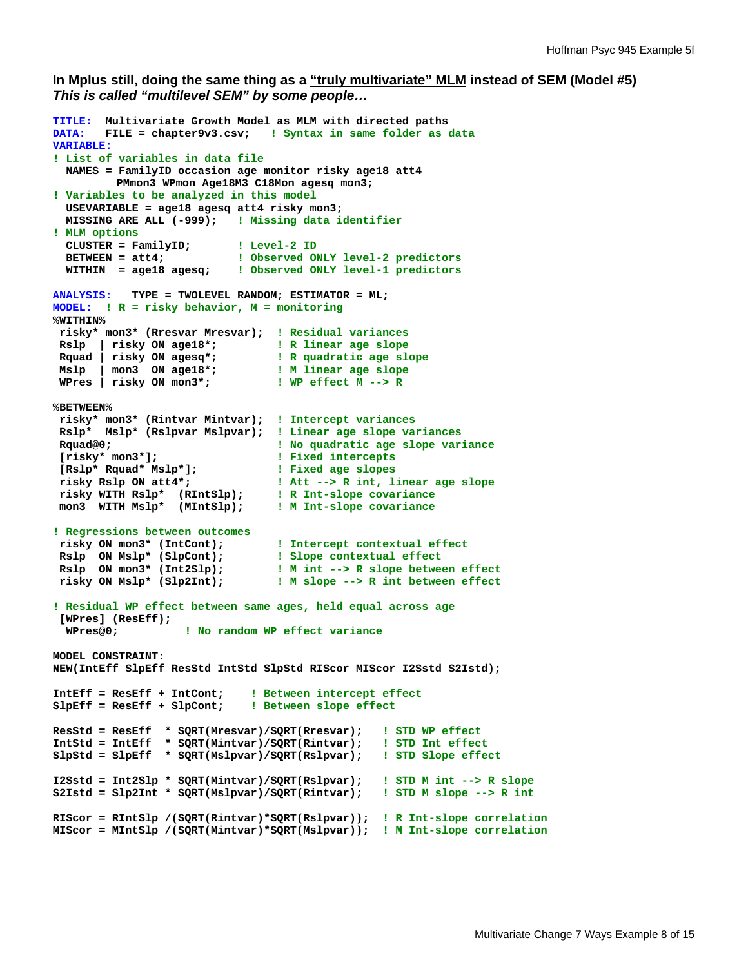### **In Mplus still, doing the same thing as a "truly multivariate" MLM instead of SEM (Model #5)**  *This is called "multilevel SEM" by some people…*

```
TITLE: Multivariate Growth Model as MLM with directed paths 
DATA: FILE = chapter9v3.csv; ! Syntax in same folder as data
VARIABLE: 
! List of variables in data file 
  NAMES = FamilyID occasion age monitor risky age18 att4 
          PMmon3 WPmon Age18M3 C18Mon agesq mon3; 
! Variables to be analyzed in this model 
  USEVARIABLE = age18 agesq att4 risky mon3; 
  MISSING ARE ALL (-999); ! Missing data identifier
! MLM options 
 CLUSTER = FamilyID; ! Level-2 ID 
 BETWEEN = att4; ! Observed ONLY level-2 predictors 
   WITHIN = age18 agesq; ! Observed ONLY level-1 predictors 
ANALYSIS: TYPE = TWOLEVEL RANDOM; ESTIMATOR = ML; 
MODEL: ! R = risky behavior, M = monitoring
%WITHIN% 
 risky* mon3* (Rresvar Mresvar); ! Residual variances 
 Rslp | risky ON age18*; ! R linear age slope
Rslp | risky ON age18*; <br>Rquad | risky ON agesq*; <br>R quadratic age slope
 Mslp | mon3 ON age18*; ! M linear age slope
 WPres | risky ON mon3*; ! WP effect M --> R
%BETWEEN% 
 risky* mon3* (Rintvar Mintvar); ! Intercept variances
 Rslp* Mslp* (Rslpvar Mslpvar); ! Linear age slope variances
 Rquad@0; ! No quadratic age slope variance
 {\small \begin{array}{l} \texttt{risky* mon3*J;} \\ \texttt{[Rslp* Rquad* Mslp*J;} \end{array} } \begin{array}{l} \texttt{! Fixed intercepts} \\ \texttt{! Fixed age slopes} \end{array} [Rslp* Rquad* Mslp*]; ! Fixed age slopes
 risky Rslp ON att4*; ! Att --> R int, linear age slope
 risky WITH Rslp* (RIntSlp); ! R Int-slope covariance
 mon3 WITH Mslp* (MIntSlp); ! M Int-slope covariance
! Regressions between outcomes 
 risky ON mon3* (IntCont); ! Intercept contextual effect
 Rslp ON Mslp* (SlpCont); ! Slope contextual effect
 Rslp ON mon3* (Int2Slp); ! M int --> R slope between effect 
 risky ON Mslp* (Slp2Int); ! M slope --> R int between effect
! Residual WP effect between same ages, held equal across age 
  [WPres] (ResEff); 
   WPres@0; ! No random WP effect variance
MODEL CONSTRAINT: 
NEW(IntEff SlpEff ResStd IntStd SlpStd RIScor MIScor I2Sstd S2Istd); 
IntEff = ResEff + IntCont; ! Between intercept effect
SlpEff = ResEff + SlpCont; ! Between slope effect
ResStd = ResEff * SQRT(Mresvar)/SQRT(Rresvar); ! STD WP effect
IntStd = IntEff * SQRT(Mintvar)/SQRT(Rintvar); ! STD Int effect
SlpStd = SlpEff * SQRT(Mslpvar)/SQRT(Rslpvar); ! STD Slope effect
I2Sstd = Int2Slp * SQRT(Mintvar)/SQRT(Rslpvar); ! STD M int --> R slope
S2Istd = Slp2Int * SQRT(Mslpvar)/SQRT(Rintvar); ! STD M slope --> R int
RIScor = RIntSlp /(SQRT(Rintvar)*SQRT(Rslpvar)); ! R Int-slope correlation
MIScor = MIntSlp /(SQRT(Mintvar)*SQRT(Mslpvar)); ! M Int-slope correlation
```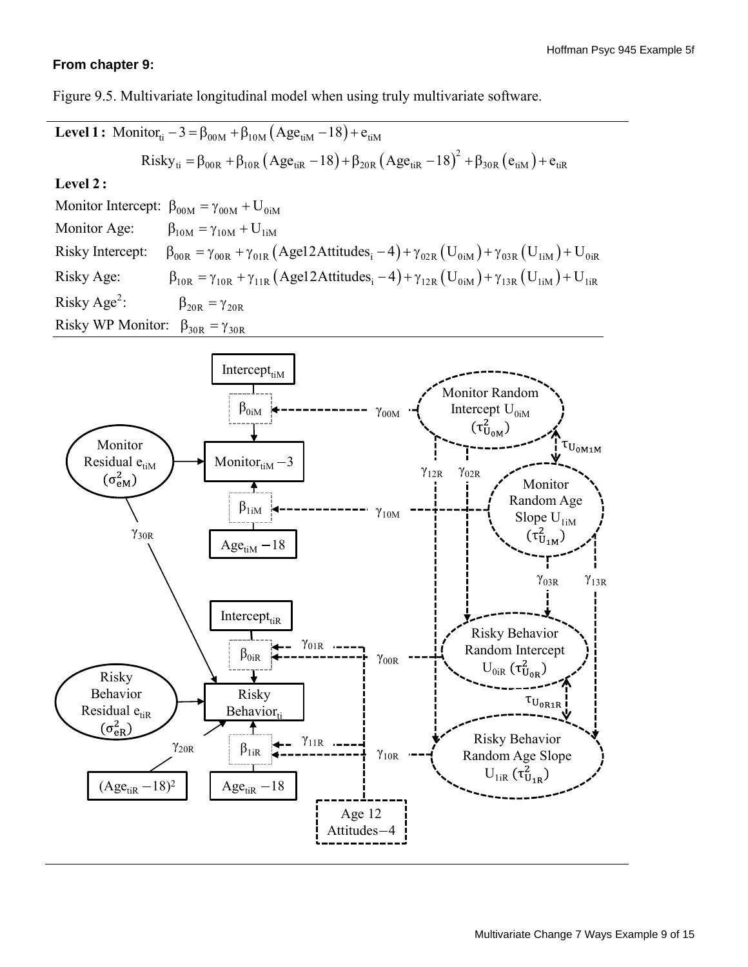# **From chapter 9:**

Figure 9.5. Multivariate longitudinal model when using truly multivariate software.

| Level 1: Monitor <sub>ii</sub> -3 = $\beta_{00M} + \beta_{10M} (Age_{iM} - 18) + e_{iM}$                                                                 |                                                                                                                                |
|----------------------------------------------------------------------------------------------------------------------------------------------------------|--------------------------------------------------------------------------------------------------------------------------------|
| Level 2:                                                                                                                                                 |                                                                                                                                |
| Monitor Intercept:<br>Montitor Intercept:<br>1: $\beta_{00M} = \gamma_{00M} + U_{0iM}$                                                                   |                                                                                                                                |
| Level 2:                                                                                                                                                 |                                                                                                                                |
| Monitor Intercept:<br>1: $\beta_{00M} = \gamma_{00M} + U_{0iM}$                                                                                          |                                                                                                                                |
| Risky Intercept:<br>1: $\beta_{00R} = \gamma_{00R} + \gamma_{01R} (Age12Attitudes_i - 4) + \gamma_{02R} (U_{0iM}) + \gamma_{03R} (U_{iiM}) + U_{0iR}$ \n |                                                                                                                                |
| Risky Age:                                                                                                                                               | $\beta_{10R} = \gamma_{10R} + \gamma_{11R} (Age12Attitudes_i - 4) + \gamma_{12R} (U_{0iM}) + \gamma_{13R} (U_{iiM}) + U_{iiR}$ |
| Risky WP Monitor:<br>1: $\beta_{30R} = \gamma_{20R}$                                                                                                     |                                                                                                                                |
| Missy WP Monitor:<br>1: $\beta_{30R} = \gamma_{30R}$                                                                                                     |                                                                                                                                |
| Monitor<br>1: $\gamma_{0M}$                                                                                                                              |                                                                                                                                |
| Monitor<br>1: $\gamma_{0M}$                                                                                                                              |                                                                                                                                |
| Monitor<br>1: $\gamma_{0M}$                                                                                                                              |                                                                                                                                |
| Monitor<br>1: $\gamma_{0M}$                                                                                                                              |                                                                                                                                |
| Monitor<br>1: $\gamma_{0M}$                                                                                                                              |                                                                                                                                |
| Manat                                                                                                                                                    |                                                                                                                                |
| Manat                                                                                                                                                    |                                                                                                                                |
| Manat                                                                                                                                                    |                                                                                                                                |
| Manat                                                                                                                                                    |                                                                                                                                |
| Manat                                                                                                                                                    |                                                                                                                                |
| Manat                                                                                                                                                    |                                                                                                                                |
| Manat                                                                                                                                                    |                                                                                                                                |
| Manat                                                                                                                                                    |                                                                                                                                |
| Manat                                                                                                                                                    |                                                                                                                                |
| Manat                                                                                                                                                    |                                                                                                                                |

Age 12 Attitudes-4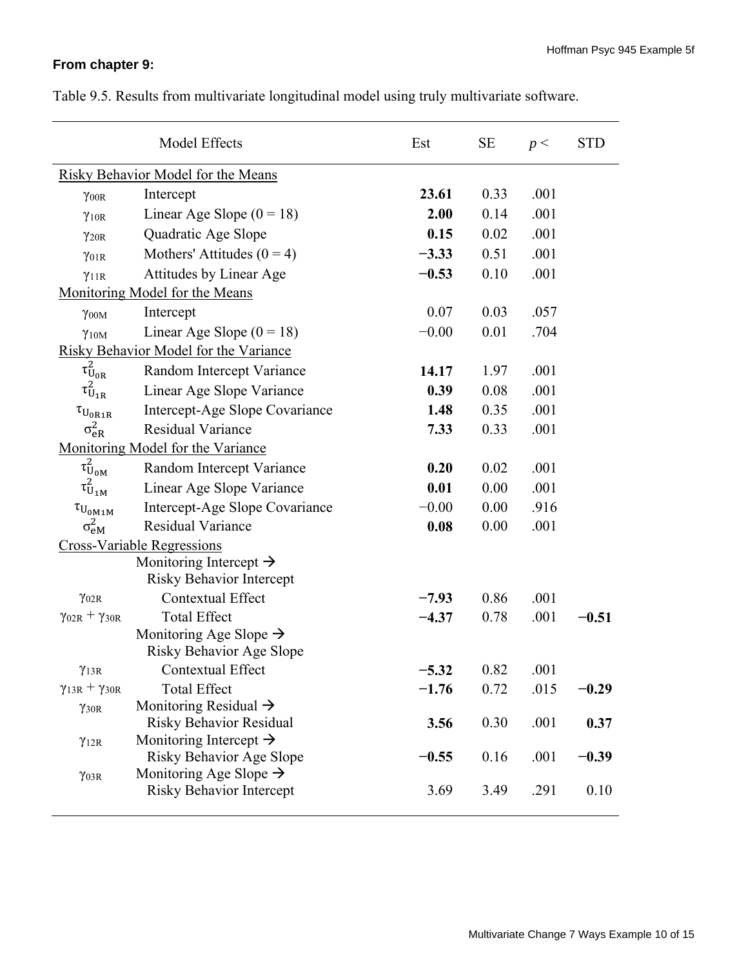# **From chapter 9:**

|                                                 | Model Effects                             | Est     | <b>SE</b>    | p <  | <b>STD</b> |
|-------------------------------------------------|-------------------------------------------|---------|--------------|------|------------|
|                                                 | <b>Risky Behavior Model for the Means</b> |         |              |      |            |
| $\gamma$ <sub>00R</sub>                         | Intercept                                 | 23.61   | 0.33         | .001 |            |
| $\gamma$ <sub>10R</sub>                         | Linear Age Slope $(0 = 18)$               | 2.00    | 0.14         | .001 |            |
| $\gamma_{20R}$                                  | Quadratic Age Slope                       | 0.15    | 0.02         | .001 |            |
| $\gamma_{01R}$                                  | Mothers' Attitudes $(0 = 4)$              | $-3.33$ | 0.51         | .001 |            |
| $\gamma_{11R}$                                  | Attitudes by Linear Age                   | $-0.53$ | 0.10         | .001 |            |
|                                                 | Monitoring Model for the Means            |         |              |      |            |
| $\gamma$ <sub>00M</sub>                         | Intercept                                 | 0.07    | 0.03         | .057 |            |
| $\gamma_{10M}$                                  | Linear Age Slope $(0 = 18)$               | $-0.00$ | 0.01         | .704 |            |
|                                                 | Risky Behavior Model for the Variance     |         |              |      |            |
| $\tau^2_{U_{0R}}$                               | Random Intercept Variance                 | 14.17   | 1.97         | .001 |            |
| $\tau^2_{U_{1R}}$                               | Linear Age Slope Variance                 | 0.39    | 0.08         | .001 |            |
| $\tau_{\rm U_{\rm 0R1R}}$                       | Intercept-Age Slope Covariance            | 1.48    | 0.35         | .001 |            |
| $\sigma_{\text{eR}}^2$                          | Residual Variance                         | 7.33    | 0.33         | .001 |            |
|                                                 | Monitoring Model for the Variance         |         |              |      |            |
| $\tau^2_{U_{0M}}$                               | Random Intercept Variance                 | 0.20    | 0.02         | .001 |            |
| $\tau^2_{U_{1M}}$                               | Linear Age Slope Variance                 | 0.01    | 0.00         | .001 |            |
| $\tau_{U_{0M1M}}$                               | Intercept-Age Slope Covariance            | $-0.00$ | 0.00         | .916 |            |
| $\sigma_{\text{eM}}^2$                          | Residual Variance                         | 0.08    | 0.00         | .001 |            |
|                                                 | <b>Cross-Variable Regressions</b>         |         |              |      |            |
|                                                 | Monitoring Intercept $\rightarrow$        |         |              |      |            |
|                                                 | <b>Risky Behavior Intercept</b>           |         |              |      |            |
| $\gamma$ <sub>02R</sub>                         | <b>Contextual Effect</b>                  | $-7.93$ | 0.86         | .001 |            |
| $\gamma_{02R} + \gamma_{30R}$                   | <b>Total Effect</b>                       | $-4.37$ | 0.78         | .001 | $-0.51$    |
|                                                 | Monitoring Age Slope $\rightarrow$        |         |              |      |            |
|                                                 | Risky Behavior Age Slope                  |         |              |      |            |
| $\gamma_{13R}$<br>$\gamma_{13R} + \gamma_{30R}$ | Contextual Effect<br><b>Total Effect</b>  | 5.32    | 0.82<br>0.72 | .001 |            |
|                                                 | Monitoring Residual $\rightarrow$         | $-1.76$ |              | .015 | $-0.29$    |
| $\gamma_{30R}$                                  | <b>Risky Behavior Residual</b>            | 3.56    | 0.30         | .001 | 0.37       |
| $\gamma_{12R}$                                  | Monitoring Intercept $\rightarrow$        |         |              |      |            |
|                                                 | <b>Risky Behavior Age Slope</b>           | $-0.55$ | 0.16         | .001 | $-0.39$    |
| $\gamma_{03R}$                                  | Monitoring Age Slope $\rightarrow$        |         |              |      |            |
|                                                 | <b>Risky Behavior Intercept</b>           | 3.69    | 3.49         | .291 | 0.10       |

Table 9.5. Results from multivariate longitudinal model using truly multivariate software.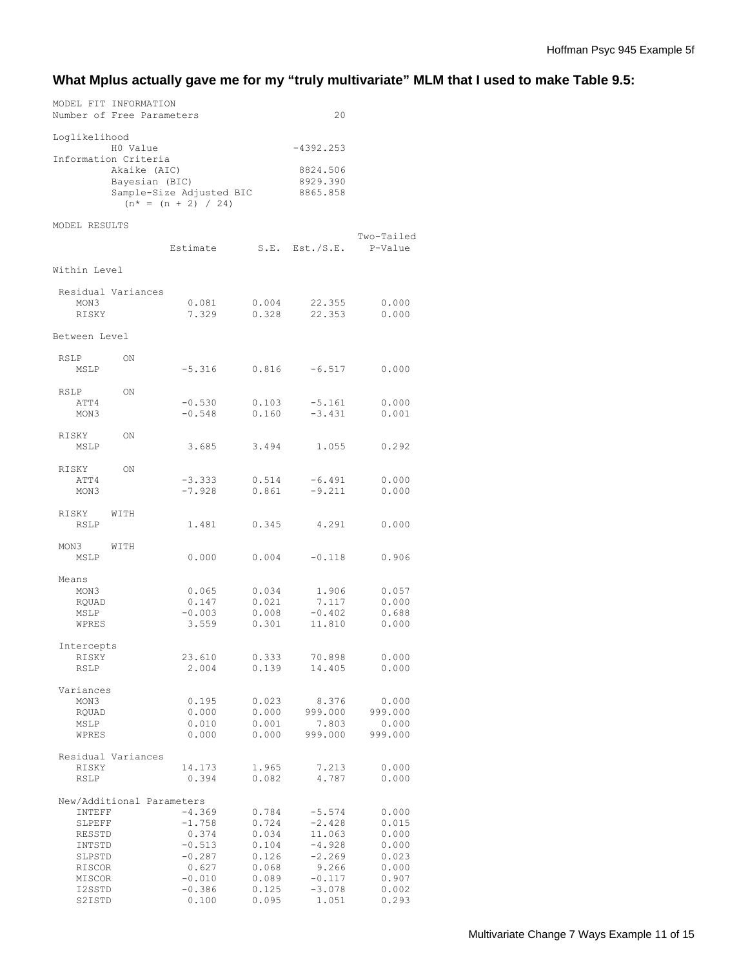# **What Mplus actually gave me for my "truly multivariate" MLM that I used to make Table 9.5:**

|                                                                                        | Number of Free Parameters                              |                                                                                                 |                                                                               | 20                                                                                               |                                                                               |
|----------------------------------------------------------------------------------------|--------------------------------------------------------|-------------------------------------------------------------------------------------------------|-------------------------------------------------------------------------------|--------------------------------------------------------------------------------------------------|-------------------------------------------------------------------------------|
| Loglikelihood                                                                          | H0 Value                                               |                                                                                                 |                                                                               | $-4392.253$                                                                                      |                                                                               |
|                                                                                        | Information Criteria<br>Akaike (AIC)<br>Bayesian (BIC) | Sample-Size Adjusted BIC<br>$(n* = (n + 2) / 24)$                                               |                                                                               | 8824.506<br>8929.390<br>8865.858                                                                 |                                                                               |
| MODEL RESULTS                                                                          |                                                        |                                                                                                 |                                                                               |                                                                                                  |                                                                               |
|                                                                                        |                                                        | Estimate                                                                                        |                                                                               | S.E. Est./S.E.                                                                                   | Two-Tailed<br>P-Value                                                         |
| Within Level                                                                           |                                                        |                                                                                                 |                                                                               |                                                                                                  |                                                                               |
| MON3<br>RISKY                                                                          | Residual Variances                                     | 0.081<br>7.329                                                                                  | 0.004<br>0.328                                                                | 22.355<br>22.353                                                                                 | 0.000<br>0.000                                                                |
| Between Level                                                                          |                                                        |                                                                                                 |                                                                               |                                                                                                  |                                                                               |
| RSLP<br>MSLP                                                                           | ON                                                     | $-5.316$ 0.816                                                                                  |                                                                               | $-6.517$ 0.000                                                                                   |                                                                               |
| RSLP<br>ATT4<br>MON3                                                                   | ON                                                     | $-0.530$<br>$-0.548$                                                                            | 0.103<br>0.160                                                                | $-5.161$<br>$-3.431$                                                                             | 0.000<br>0.001                                                                |
| RISKY<br>MSLP                                                                          | ON                                                     | 3.685                                                                                           | 3.494                                                                         | 1.055                                                                                            | 0.292                                                                         |
| RISKY<br>ATT4<br>MON3                                                                  | ON                                                     | $-3.333$<br>$-7.928$                                                                            | 0.514<br>0.861                                                                | $-6.491$<br>$-9.211$                                                                             | 0.000<br>0.000                                                                |
| RISKY<br>RSLP                                                                          | WITH                                                   | 1.481                                                                                           | 0.345                                                                         | 4,291                                                                                            | 0.000                                                                         |
| MON 3<br>MSLP                                                                          | WITH                                                   | 0.000                                                                                           | 0.004                                                                         | $-0.118$                                                                                         | 0.906                                                                         |
| Means<br>MON3<br>RQUAD<br>MSLP<br>WPRES                                                |                                                        | 0.065<br>0.147<br>$-0.003$<br>3.559                                                             | 0.034<br>0.021<br>0.008<br>0.301                                              | 1.906<br>7.117<br>$-0.402$<br>11.810                                                             | 0.057<br>0.000<br>0.688<br>0.000                                              |
| Intercepts<br>RISKY<br>RSLP                                                            |                                                        | 23.610<br>2.004                                                                                 | 0.333<br>0.139                                                                | 70.898<br>14.405                                                                                 | 0.000<br>0.000                                                                |
| Variances<br>MON3<br>RQUAD<br>MSLP<br>WPRES                                            |                                                        | 0.195<br>0.000<br>0.010<br>0.000                                                                | 0.023<br>0.000<br>0.001<br>0.000                                              | 8.376<br>999.000<br>7.803<br>999.000                                                             | 0.000<br>999.000<br>0.000<br>999.000                                          |
| RISKY<br>RSLP                                                                          | Residual Variances                                     | 14.173<br>0.394                                                                                 | 1.965<br>0.082                                                                | 7.213<br>4.787                                                                                   | 0.000<br>0.000                                                                |
| INTEFF<br>SLPEFF<br>RESSTD<br>INTSTD<br>SLPSTD<br>RISCOR<br>MISCOR<br>I2SSTD<br>S2ISTD | New/Additional Parameters                              | $-4.369$<br>$-1.758$<br>0.374<br>$-0.513$<br>$-0.287$<br>0.627<br>$-0.010$<br>$-0.386$<br>0.100 | 0.784<br>0.724<br>0.034<br>0.104<br>0.126<br>0.068<br>0.089<br>0.125<br>0.095 | $-5.574$<br>$-2.428$<br>11.063<br>$-4.928$<br>$-2.269$<br>9.266<br>$-0.117$<br>$-3.078$<br>1.051 | 0.000<br>0.015<br>0.000<br>0.000<br>0.023<br>0.000<br>0.907<br>0.002<br>0.293 |

MODEL FIT INFORMATION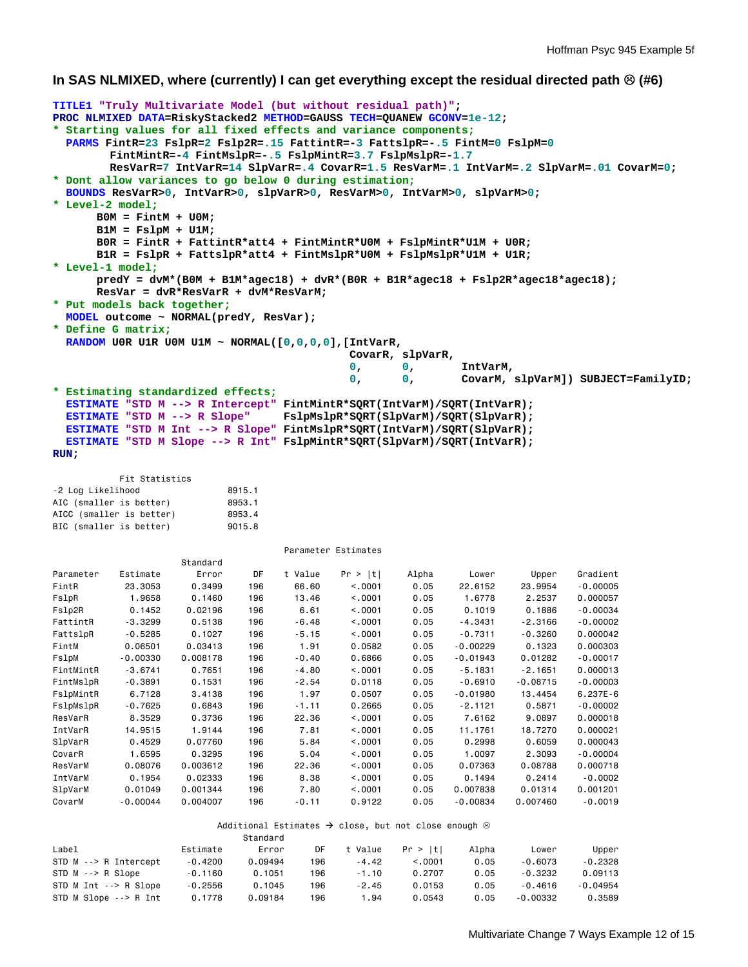#### **In SAS NLMIXED, where (currently) I can get everything except the residual directed path (#6)**

```
TITLE1 "Truly Multivariate Model (but without residual path)"; 
PROC NLMIXED DATA=RiskyStacked2 METHOD=GAUSS TECH=QUANEW GCONV=1e-12; 
* Starting values for all fixed effects and variance components;
  PARMS FintR=23 FslpR=2 Fslp2R=.15 FattintR=-3 FattslpR=-.5 FintM=0 FslpM=0 
         FintMintR=-4 FintMslpR=-.5 FslpMintR=3.7 FslpMslpR=-1.7 
         ResVarR=7 IntVarR=14 SlpVarR=.4 CovarR=1.5 ResVarM=.1 IntVarM=.2 SlpVarM=.01 CovarM=0; 
* Dont allow variances to go below 0 during estimation;
  BOUNDS ResVarR>0, IntVarR>0, slpVarR>0, ResVarM>0, IntVarM>0, slpVarM>0; 
* Level-2 model;
       B0M = FintM + U0M; 
       B1M = FslpM + U1M; 
       B0R = FintR + FattintR*att4 + FintMintR*U0M + FslpMintR*U1M + U0R; 
       B1R = FslpR + FattslpR*att4 + FintMslpR*U0M + FslpMslpR*U1M + U1R; 
* Level-1 model;
       predY = dvM*(B0M + B1M*agec18) + dvR*(B0R + B1R*agec18 + Fslp2R*agec18*agec18); 
       ResVar = dvR*ResVarR + dvM*ResVarM; 
* Put models back together;
  MODEL outcome ~ NORMAL(predY, ResVar); 
* Define G matrix;
  RANDOM U0R U1R U0M U1M ~ NORMAL([0,0,0,0],[IntVarR, 
                                           CovarR, slpVarR, 
 0, 0, IntVarM, 
                                          0, 0, CovarM, slpVarM]) SUBJECT=FamilyID; 
* Estimating standardized effects;
 ESTIMATE "STD M --> R Intercept" FintMintR*SQRT(IntVarM)/SQRT(IntVarR);<br>ESTIMATE "STD M --> R Slope" FslpMslpR*SQRT(SlpVarM)/SQRT(SlpVarR);
                                FslpMs1pr*SQRT(S1pVarM)/SQRT(S1pVarR);
  ESTIMATE "STD M Int --> R Slope" FintMslpR*SQRT(IntVarM)/SQRT(SlpVarR); 
  ESTIMATE "STD M Slope --> R Int" FslpMintR*SQRT(SlpVarM)/SQRT(IntVarR); 
RUN; 
          Fit Statistics 
-2 Log Likelihood 8915.1
AIC (smaller is better) 8953.1
AICC (smaller is better) 8953.4
BIC (smaller is better) 9015.8
                                 Parameter Estimates 
                   Standard 
Parameter Estimate Error DF t Value Pr > |t| Alpha Lower Upper Gradient 
FintR 23.3053 0.3499 196 66.60 <.0001 0.05 22.6152 23.9954 -0.00005 
FslpR 1.9658 0.1460 196 13.46 <.0001 0.05 1.6778 2.2537 0.000057 
Fslp2R 0.1452 0.02196 196 6.61 <.0001 0.05 0.1019 0.1886 -0.00034 
FattintR -3.3299 0.5138 196 -6.48 <.0001 0.05 -4.3431 -2.3166 -0.00002 
FattslpR -0.5285 0.1027 196 -5.15 <.0001 0.05 -0.7311 -0.3260 0.000042 
FintM 0.06501 0.03413 196 1.91 0.0582 0.05 -0.00229 0.1323 0.000303 
FslpM -0.00330 0.008178 196 -0.40 0.6866 0.05 -0.01943 0.01282 -0.00017 
FintMintR -3.6741 0.7651 196 -4.80 <.0001 0.05 -5.1831 -2.1651 0.000013 
FintMslpR -0.3891 0.1531 196 -2.54 0.0118 0.05 -0.6910 -0.08715 -0.00003 
FslpMintR 6.7128 3.4138 196 1.97 0.0507 0.05 -0.01980 13.4454
FslpMslpR -0.7625 0.6843 196 -1.11 0.2665 0.05 -2.1121 0.5871 -0.00002 
ResVarR 8.3529 0.3736 196 22.36 <.0001 0.05 7.6162 9.0897 0.000018 
IntVarR 14.9515 1.9144 196 7.81 <.0001 0.05 11.1761 18.7270 0.000021 
SlpVarR 0.4529 0.07760 196 5.84 <.0001 0.05 0.2998 0.6059 0.000043 
CovarR 1.6595 0.3295 196 5.04 <.0001 0.05 1.0097 2.3093 -0.00004 
ResVarM 0.08076 0.003612 196 22.36 <.0001 0.05 0.07363 0.08788 0.000718 
IntVarM 0.1954 0.02333 196 8.38 <.0001 0.05 0.1494 0.2414 -0.0002 
SlpVarM 0.01049 0.001344 196 7.80 <.0001 0.05 0.007838 0.01314 0.001201 
CovarM -0.00044 0.004007 196 -0.11 0.9122 0.05 -0.00834 0.007460 -0.0019 
                       Additional Estimates \rightarrow close, but not close enough \otimes Standard 
Label Estimate Error DF t Value Pr > |t| Alpha Lower Upper 
STD M --> R Intercept -0.4200 0.09494 196 -4.42 <.0001 0.05 -0.6073 -0.2328 
                  0.1160   0.1051  196   -1.10   0.2707   0.05<br>-0.2556   0.1045  196   -2.45   0.0153   0.05
STD M Int --> R Slope -0.2556 0.1045 196 -2.45 0.0153 0.05 -0.4616 -0.04954 
STD M Slope --> R Int 0.1778 0.09184 196 1.94 0.0543 0.05 -0.00332 0.3589
```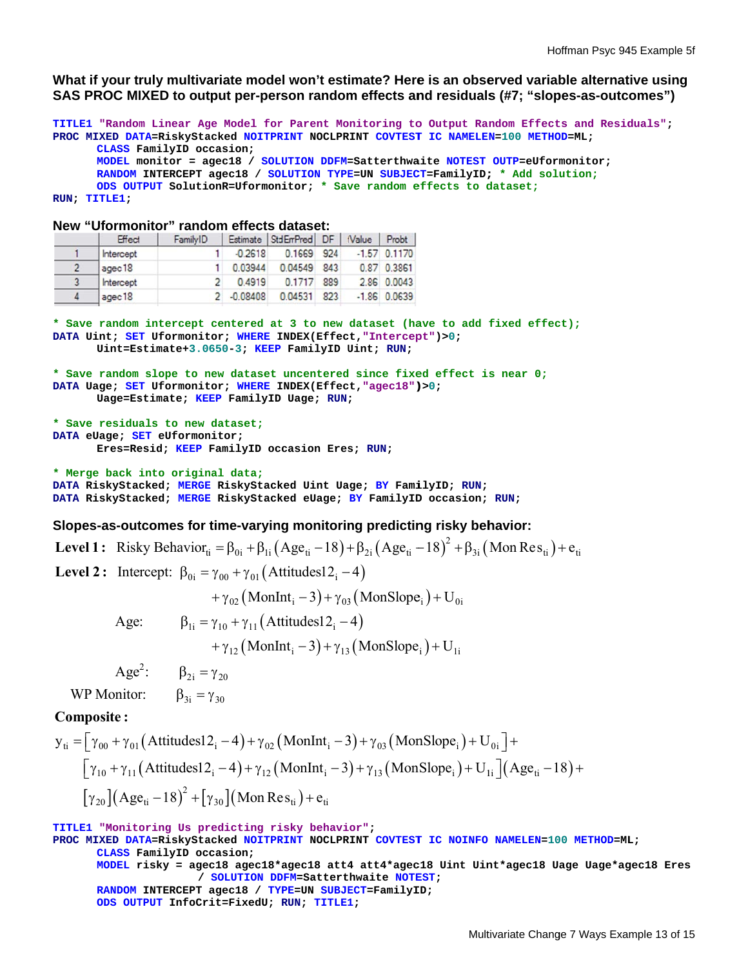What if your truly multivariate model won't estimate? Here is an observed variable alternative using SAS PROC MIXED to output per-person random effects and residuals (#7; "slopes-as-outcomes")

```
TITLE1 "Random Linear Age Model for Parent Monitoring to Output Random Effects and Residuals";
PROC MIXED DATA=RiskyStacked NOITPRINT NOCLPRINT COVTEST IC NAMELEN=100 METHOD=ML;
RUN
N; TITLE1; 
       CLASS F
FamilyID occ
casion; 
       MODEL m
monitor = ag
gec18 / SOL
LUTION DDFM=
=Satterthwa
aite NOTEST
OUTP=eUform
monitor; 
       RANDOM
INTERCEPT a
agec18 / SO
OLUTION TYPE
E=UN SUBJEC
CT=FamilyID;
; * Add sol
ution;
       ODS OUTPUT SolutionR=Uformonitor; * Save random effects to dataset;
```
#### **Ne w "Uformon nitor" rando om effects d dataset:**

|   | Effect    | FamilyID |               | Estimate StdErrPred DF   tValue |     | Probt          |
|---|-----------|----------|---------------|---------------------------------|-----|----------------|
|   | Intercept |          | $-0.2618$     | 0.1669 924                      |     | $-1.57$ 0.1170 |
|   | agec18    |          | 0.03944       | 0.04549 843                     |     | 0.87 0.3861    |
| 3 | Intercept |          | 0.4919        | 0.1717 889                      |     | 2.86 0.0043    |
| 4 | agec18    |          | $2 - 0.08408$ | 0.04531                         | 823 | $-1.86$ 0.0639 |

\* Save random intercept centered at 3 to new dataset (have to add fixed effect); **DATA Uint; SET Uformonitor; WHERE INDEX(Effect,"Intercept")>0;** Uint=Estimate+3.0650-3; KEEP FamilyID Uint; RUN;

```
* S
Save random 
slope to n
new dataset 
uncentered
d since fixe
ed effect is
s near 0;
DAT
TA Uage; SET
T Uformonit
tor; WHERE I
INDEX(Effec
t,"agec18")
)>0; 
       Uage=Es
stimate; KEE
EP FamilyID
D Uage; RUN;
```

```
* S
Save residua
als to new 
dataset;
DAT
TA eUage; SE
ET eUformon
nitor; 
             Uage=Estimate; KEEP FamilyID Uage; RUN;<br>residuals to new dataset;<br>Jage; SET eUformonitor;<br>Eres=Resid; KEEP FamilyID occasion Eres; RUN;
```
**\* M Merge back i into origin nal data; DAT TA RiskyStac cked; MERGE E RiskyStack ked Uint Ua ge; BY Fami ilyID; RUN; DAT TA RiskyStac cked; MERGE E RiskyStack ked eUage; BY FamilyID D occasion; RUN;** 

#### Slopes-as-outcomes for time-varying monitoring predicting risky behavior:

**Level 1:** Risky Behavior<sub>ti</sub> =  $\beta_{0i} + \beta_{1i} (Age_{ti} - 18) + \beta_{2i} (Age_{ti} - 18)^2 + \beta_{3i} ($ **Level 2:** Intercept:  $\beta_{0i} = \gamma_{00} + \gamma_{01}$  (Attitudes12<sub>i</sub> -4) =  $\beta_{0i}$  +  $\beta_{1i}$  (Age<sub>ti</sub> - 18) +  $\beta_{2i}$  (Age<sub>ti</sub> - 18)<sup>2</sup> +<br>  $\gamma_{00}$  +  $\gamma_{01}$  (Attitudes12<sub>i</sub> - 4)<br>
+  $\gamma_{02}$  (MonInt<sub>i</sub> - 3) +  $\gamma_{03}$  (MonSlope<sub>i</sub>) + U<sub>0i</sub>  $(-18)^{2} + \beta_{3i} ($ Mon Res<sub>ti</sub> $) + e_{ti}$ 

Age:  $\beta_{1i} = \gamma_{10} + \gamma_{11} (Attitudes12_i - 4)$ 

```
+ \gamma_{12} (MonInt<sub>i</sub> - 3) + \gamma_{13} (MonSlope<sub>i</sub>) + U<sub>1i</sub>
```
Age<sup>2</sup>:  $\beta_{2i} = \gamma_{20}$ 

WP Monitor:  $\beta_{3i} = \gamma_{30}$ 

### **Co omposite :**

\n
$$
\text{WP Monitor:} \quad \beta_{3i} = \gamma_{30}
$$
\n

\n\n $\text{Composite:} \quad\n \mathbf{y}_{ti} = \left[ \gamma_{00} + \gamma_{01} \left( \text{Attitudes12}_i - 4 \right) + \gamma_{02} \left( \text{MonInt}_i - 3 \right) + \gamma_{03} \left( \text{MonSlope}_i \right) + U_{0i} \right] + \left[ \gamma_{10} + \gamma_{11} \left( \text{Attitudes12}_i - 4 \right) + \gamma_{12} \left( \text{MonInt}_i - 3 \right) + \gamma_{13} \left( \text{MonSlope}_i \right) + U_{1i} \right] \left( \text{Age}_{ti} - 18 \right) + \left[ \gamma_{20} \right] \left( \text{Age}_{ti} - 18 \right)^2 + \left[ \gamma_{30} \right] \left( \text{Mon Res}_{ti} \right) + e_{ti}\n \end{aligned}$ \n

**TIT TLE1 "Monito oring Us pr redicting ri isky behavi or"; PROC MIXED DATA=RiskyStacked NOITPRINT NOCLPRINT COVTEST IC NOINFO NAMELEN=100 METHOD=ML; CLASS F FamilyID occ casion; MODEL r risky = agec c18 agec18\* \*agec18 att4 4 att4\*agec c18 Uint Uin nt\*agec18 U Uage Uage\*ag gec18 Eres RANDOM INTERCEPT a agec18 / TY YPE=UN SUBJE ECT=FamilyI ID; ODS OUT TPUT InfoCri it=FixedU; RUN; TITLE1 1; / SOLUTION DD DFM=Sattert hwaite NOTE EST;**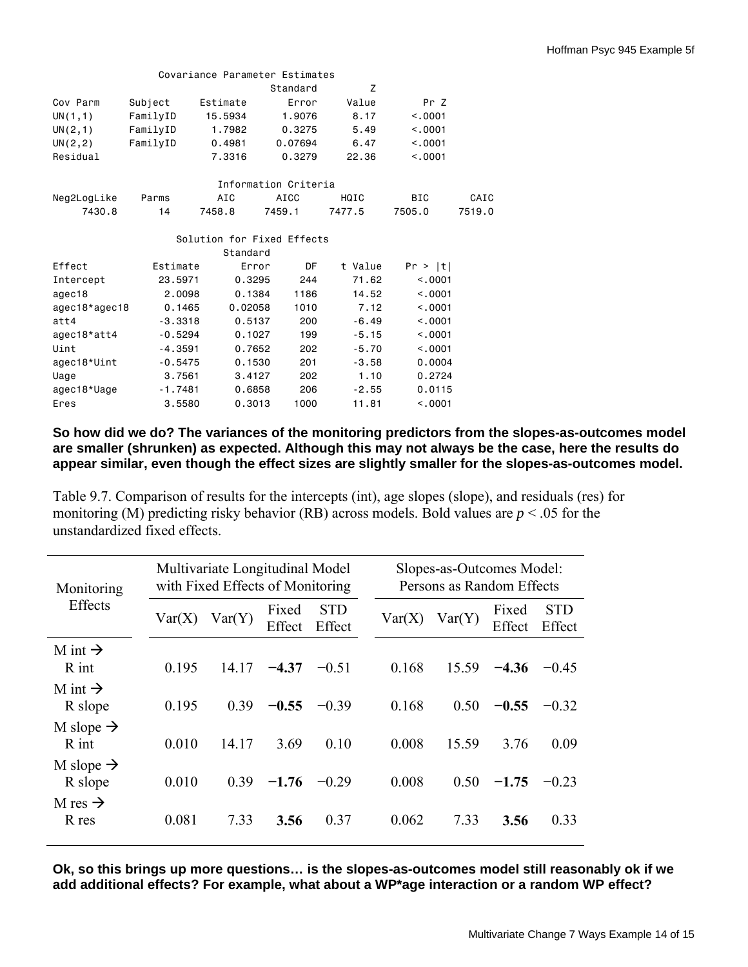| Covariance Parameter Estimates |           |          |                            |         |            |        |  |  |
|--------------------------------|-----------|----------|----------------------------|---------|------------|--------|--|--|
|                                |           |          | Standard                   | Z       |            |        |  |  |
| Cov Parm                       | Subject   | Estimate | Error                      | Value   | Pr Z       |        |  |  |
| UN(1,1)                        | FamilyID  | 15.5934  | 1,9076                     | 8.17    | < 0.001    |        |  |  |
| UN(2,1)                        | FamilyID  | 1.7982   | 0.3275                     | 5.49    | < 0.001    |        |  |  |
| UN(2, 2)                       | FamilyID  | 0.4981   | 0.07694                    | 6.47    | < 0.001    |        |  |  |
| Residual                       |           | 7.3316   | 0.3279                     | 22.36   | < 0.001    |        |  |  |
|                                |           |          | Information Criteria       |         |            |        |  |  |
| Neg2LogLike                    | Parms     | AIC      | AICC                       | HQIC    | <b>BIC</b> | CAIC   |  |  |
| 7430.8                         | 14        | 7458.8   | 7459.1                     | 7477.5  | 7505.0     | 7519.0 |  |  |
|                                |           |          | Solution for Fixed Effects |         |            |        |  |  |
|                                |           | Standard |                            |         |            |        |  |  |
| Effect                         | Estimate  |          | DF<br>Error                | t Value | Pr >  t    |        |  |  |
| Intercept                      | 23,5971   | 0.3295   | 244                        | 71.62   | < 0.001    |        |  |  |
| agec18                         | 2,0098    | 0.1384   | 1186                       | 14.52   | < 0.001    |        |  |  |
| agec18*agec18                  | 0.1465    | 0.02058  | 1010                       | 7.12    | < 0.001    |        |  |  |
| att4                           | $-3.3318$ | 0.5137   | 200                        | $-6.49$ | < 0.001    |        |  |  |
| agec18*att4                    | $-0.5294$ | 0.1027   | 199                        | $-5.15$ | < 0.001    |        |  |  |
| Uint                           | $-4.3591$ | 0.7652   | 202                        | $-5.70$ | < 0.001    |        |  |  |
| agec18*Uint                    | $-0.5475$ | 0.1530   | 201                        | $-3.58$ | 0.0004     |        |  |  |
| Uage                           | 3.7561    | 3.4127   | 202                        | 1.10    | 0.2724     |        |  |  |
| agec18*Uage                    | $-1.7481$ | 0.6858   | 206                        | $-2.55$ | 0.0115     |        |  |  |
| Eres                           | 3,5580    | 0.3013   | 1000                       | 11.81   | < 0.001    |        |  |  |

## **So how did we do? The variances of the monitoring predictors from the slopes-as-outcomes model are smaller (shrunken) as expected. Although this may not always be the case, here the results do appear similar, even though the effect sizes are slightly smaller for the slopes-as-outcomes model.**

Table 9.7. Comparison of results for the intercepts (int), age slopes (slope), and residuals (res) for monitoring (M) predicting risky behavior (RB) across models. Bold values are *p* < .05 for the unstandardized fixed effects.

| Monitoring                       | Multivariate Longitudinal Model<br>with Fixed Effects of Monitoring |        |                 |                      |  | Slopes-as-Outcomes Model:<br>Persons as Random Effects |        |                 |                      |  |
|----------------------------------|---------------------------------------------------------------------|--------|-----------------|----------------------|--|--------------------------------------------------------|--------|-----------------|----------------------|--|
| Effects                          | Var(X)                                                              | Var(Y) | Fixed<br>Effect | <b>STD</b><br>Effect |  | Var(X)                                                 | Var(Y) | Fixed<br>Effect | <b>STD</b><br>Effect |  |
| M int $\rightarrow$<br>R int     | 0.195                                                               | 14 17  | $-4.37$         | $-0.51$              |  | 0.168                                                  | 15.59  | $-4.36$         | $-0.45$              |  |
| M int $\rightarrow$<br>R slope   | 0.195                                                               | 0.39   | $-0.55$         | $-0.39$              |  | 0.168                                                  | 0.50   | $-0.55$         | $-0.32$              |  |
| M slope $\rightarrow$<br>$R$ int | 0.010                                                               | 14.17  | 3.69            | 0.10                 |  | 0.008                                                  | 15.59  | 3.76            | 0.09                 |  |
| M slope $\rightarrow$<br>R slope | 0.010                                                               | 0.39   | $-1.76$         | $-0.29$              |  | 0.008                                                  | 0.50   | $-1.75$         | $-0.23$              |  |
| M res $\rightarrow$<br>R res     | 0.081                                                               | 7.33   | 3.56            | 0.37                 |  | 0.062                                                  | 7.33   | 3.56            | 0.33                 |  |

**Ok, so this brings up more questions… is the slopes-as-outcomes model still reasonably ok if we add additional effects? For example, what about a WP\*age interaction or a random WP effect?**